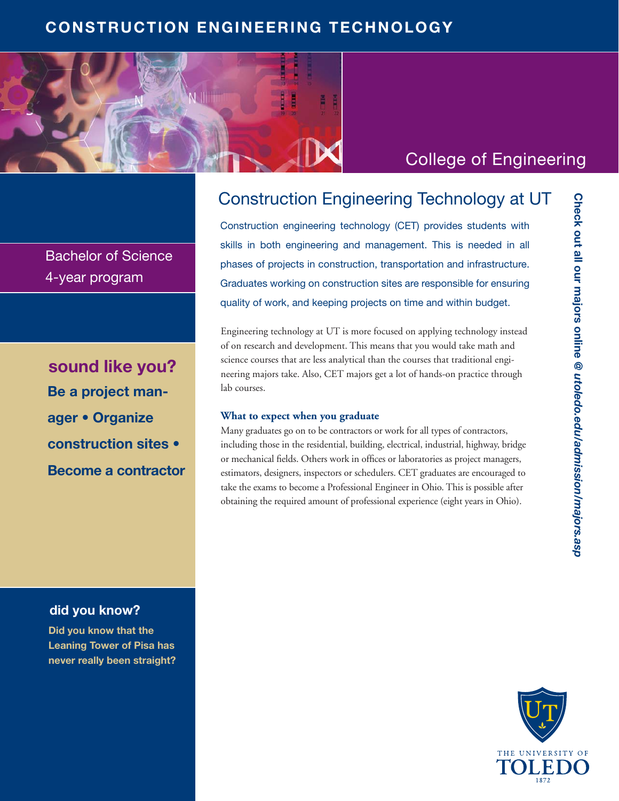## **CONSTRUCTION ENGINEERING TECHNOLOGY**



# College of Engineering

Construction engineering technology (CET) provides students with

skills in both engineering and management. This is needed in all phases of projects in construction, transportation and infrastructure. Graduates working on construction sites are responsible for ensuring quality of work, and keeping projects on time and within budget.

Construction Engineering Technology at UT

Engineering technology at UT is more focused on applying technology instead of on research and development. This means that you would take math and science courses that are less analytical than the courses that traditional engineering majors take. Also, CET majors get a lot of hands-on practice through lab courses.

#### **What to expect when you graduate**

Many graduates go on to be contractors or work for all types of contractors, including those in the residential, building, electrical, industrial, highway, bridge or mechanical fields. Others work in offices or laboratories as project managers, estimators, designers, inspectors or schedulers. CET graduates are encouraged to take the exams to become a Professional Engineer in Ohio. This is possible after obtaining the required amount of professional experience (eight years in Ohio).



Bachelor of Science 4-year program

**Be a project manager • Organize construction sites • Become a contractor sound like you?**

### **did you know?**

**Did you know that the Leaning Tower of Pisa has never really been straight?**